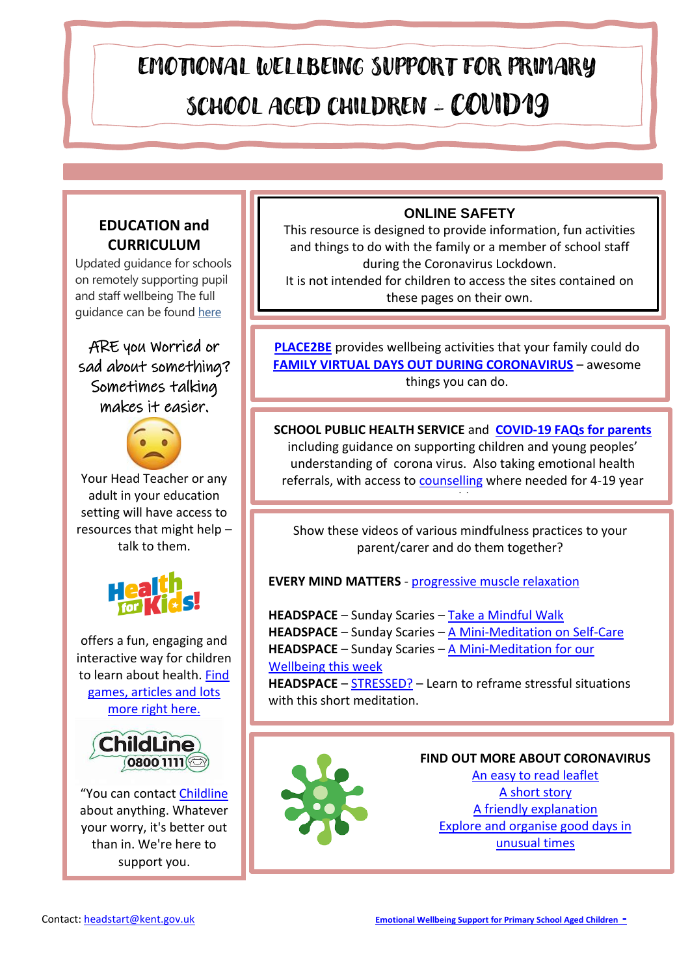# EMOTIONAL WELLBEING SUPPORT FOR PRIMARY SCHOOL AGED CHILDREN - COVID19

# **EDUCATION and CURRICULUM**

Updated guidance for schools on remotely supporting pupil and staff wellbeing The full guidance can be found [here](https://national-childrens-bureau.mobilize.io/links?lid=kBLViMlQviwnWXuoBdDEZg&token=_Q4eOWFUUbtHiRulHdV3Vw&url=https%3A%2F%2Feur02.safelinks.protection.outlook.com%2F%3Furl%3Dhttps%253A%252F%252Fwww.gov.uk%252Fguidance%252Fsupporting-pupils-wellbeing%26data%3D02%257C01%257CDDarby%2540ncb.org.uk%257Ca08d43a628ce42e7ef0308d7fe44b074%257Cadc87355e29c4519954f95e35c776178%257C0%257C0%257C637257443285330787%26sdata%3DIKdeKFoGmT8Imrxc40RKulUaqFQJd1b0ZfhB19lfZxk%253D%26reserved%3D0)

ARE you Worried or sad about something? Sometimes talking makes it easier.



Your Head Teacher or any adult in your education setting will have access to resources that might help – talk to them.



offers a fun, engaging and interactive way for children to learn about health. [Find](https://www.healthforkids.co.uk/)  [games, articles and lots](https://www.healthforkids.co.uk/)  [more right here.](https://www.healthforkids.co.uk/)



"You can contact [Childline](https://www.childline.org.uk/) about anything. Whatever your worry, it's better out than in. We're here to support you.

## **ONLINE SAFETY**

This resource is designed to provide information, fun activities and things to do with the family or a member of school staff during the Coronavirus Lockdown.

It is not intended for children to access the sites contained on these pages on their own.

**[PLACE2BE](https://www.place2be.org.uk/our-services/parents-and-carers/coronavirus-wellbeing-activity-ideas-for-families/)** provides wellbeing activities that your family could do **[FAMILY VIRTUAL DAYS OUT DURING CORONAVIRUS](https://www.dayoutwiththekids.co.uk/blog/virtual-fun-best-zoo-webcams-and-virtual-museum-tours)** – awesome things you can do.

**SCHOOL PUBLIC HEALTH SERVICE** and **[COVID-19 FAQs for parents](https://www.kentcht.nhs.uk/service/school-health/covid-19-faqs-for-parents/)** including guidance on supporting children and young peoples' understanding of corona virus. Also taking emotional health referrals, with access t[o counselling](https://www.kentcht.nhs.uk/service/school-health/counselling-and-emotional-health/) where needed for 4-19 year

olds<br>Belgische

Show these videos of various mindfulness practices to your parent/carer and do them together?

**EVERY MIND MATTERS** - [progressive muscle relaxation](https://youtu.be/9GURt2pvdAg)

**HEADSPACE** – Sunday Scaries – [Take a Mindful Walk](https://youtu.be/AwbRERIzt6c) **HEADSPACE** – Sunday Scaries – [A Mini-Meditation on Self-Care](https://youtu.be/sSSyvmBCTj8) **HEADSPACE** – Sunday Scaries – A [Mini-Meditation for our](https://youtu.be/uNHLhHyjbd0)  [Wellbeing this week](https://youtu.be/uNHLhHyjbd0)

**HEADSPACE** – [STRESSED?](https://youtu.be/sG7DBA-mgFY) – Learn to reframe stressful situations with this short meditation.



**FIND OUT MORE ABOUT CORONAVIRUS**

[An easy to read leaflet](https://www.easy-read-online.co.uk/media/53192/advice-on-the-coronavirus-v1.pdf) [A short story](https://carolgraysocialstories.com/wp-content/uploads/2020/03/Pandemics-and-the-Coronavirus.pdf) [A friendly explanation](http://www.millfields.hackney.sch.uk/uploads/2019/Corona%20Virus%20Info%20for%20Young%20Children.pdf.pdf) [Explore and organise good days in](https://www.annafreud.org/media/11441/good-days-in-unusual-times-book.pdf)  [unusual times](https://www.annafreud.org/media/11441/good-days-in-unusual-times-book.pdf)